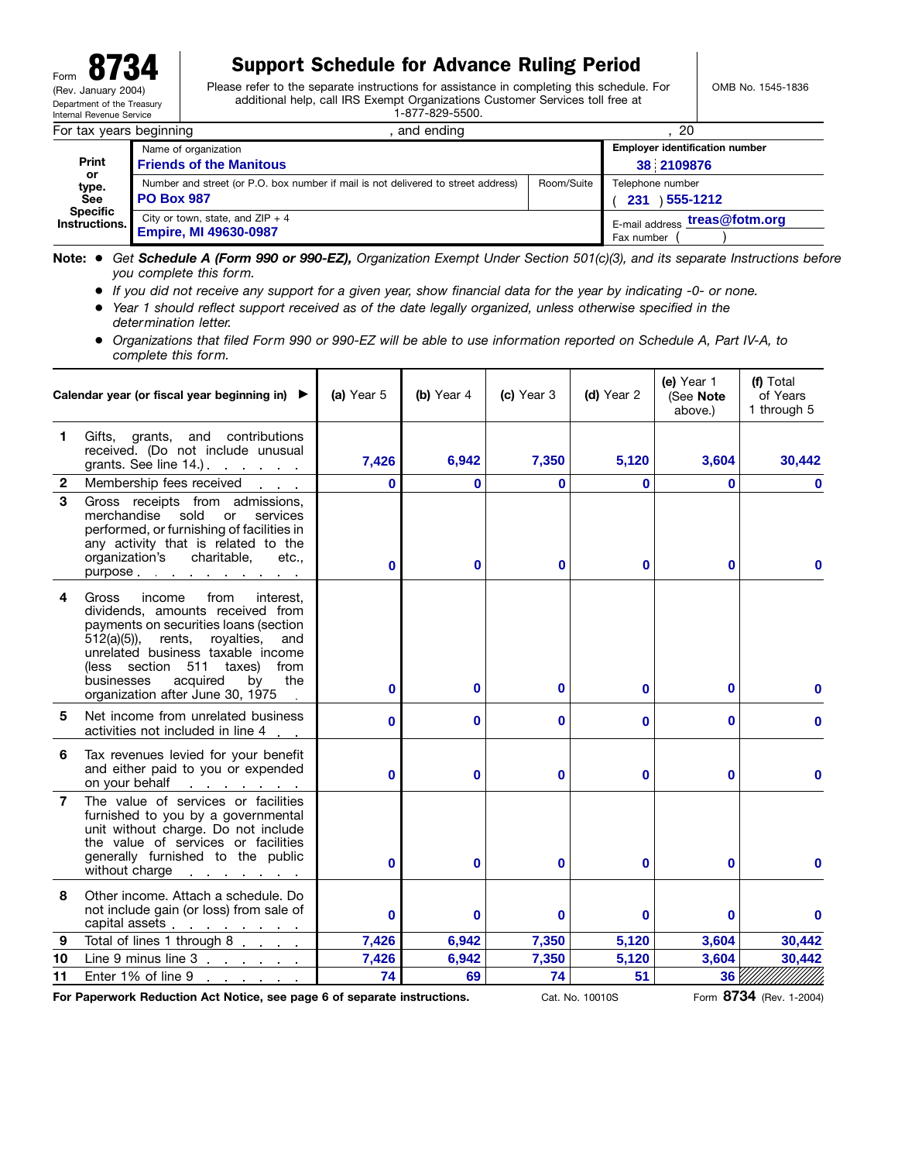## Form 8734 Support Schedule for Advance Ruling Period

Please refer to the separate instructions for assistance in completing this schedule. For additional help, call IRS Exempt Organizations Customer Services toll free at 1-877-829-5500.

OMB No. 1545-1836

| For tax years beginning                                                        |                                                                                                        | and ending                                  | 20                                             |                                                     |  |  |  |
|--------------------------------------------------------------------------------|--------------------------------------------------------------------------------------------------------|---------------------------------------------|------------------------------------------------|-----------------------------------------------------|--|--|--|
| <b>Print</b><br>or.<br>type.<br>See<br><b>Specific</b><br><b>Instructions.</b> | Name of organization<br><b>Friends of the Manitous</b>                                                 |                                             |                                                | <b>Employer identification number</b><br>38 2109876 |  |  |  |
|                                                                                | Number and street (or P.O. box number if mail is not delivered to street address)<br><b>PO Box 987</b> | Room/Suite                                  | Telephone number<br>1 <b>555-1212</b> ١<br>231 |                                                     |  |  |  |
|                                                                                | City or town, state, and $ZIP + 4$<br><b>Empire, MI 49630-0987</b>                                     | E-mail address treas@fotm.org<br>Fax number |                                                |                                                     |  |  |  |

**Note:** ● *Get Schedule A (Form 990 or 990-EZ), Organization Exempt Under Section 501(c)(3), and its separate Instructions before you complete this form.*

- *If you did not receive any support for a given year, show financial data for the year by indicating -0- or none.*
- *Year 1 should reflect support received as of the date legally organized, unless otherwise specified in the determination letter.*
- *Organizations that filed Form 990 or 990-EZ will be able to use information reported on Schedule A, Part IV-A, to complete this form.*

|                  | Calendar year (or fiscal year beginning in) ▶                                                                                                                                                                                                                                                                         | (a) Year 5 | (b) Year 4 | (d) Year 2<br>(c) Year 3 |          | (e) Year 1<br>(See Note<br>above.) | (f) Total<br>of Years<br>1 through 5 |  |
|------------------|-----------------------------------------------------------------------------------------------------------------------------------------------------------------------------------------------------------------------------------------------------------------------------------------------------------------------|------------|------------|--------------------------|----------|------------------------------------|--------------------------------------|--|
| 1                | Gifts, grants, and contributions<br>received. (Do not include unusual<br>grants. See line 14.)                                                                                                                                                                                                                        | 7,426      | 6,942      | 7,350                    | 5,120    | 3,604                              | 30,442                               |  |
| $\boldsymbol{2}$ | Membership fees received<br><b>Contractor</b>                                                                                                                                                                                                                                                                         | O          | 0          | $\bf{0}$                 | 0        | $\mathbf{0}$                       | $\bf{0}$                             |  |
| 3                | Gross receipts from admissions,<br>merchandise<br>sold<br>or<br>services<br>performed, or furnishing of facilities in<br>any activity that is related to the<br>organization's charitable,<br>etc<br>purpose                                                                                                          | O          | 0          | $\bf{0}$                 | 0        | $\Omega$                           |                                      |  |
| 4                | from<br>Gross<br>income<br>interest.<br>dividends, amounts received from<br>payments on securities loans (section<br>rents,<br>royalties,<br>$512(a)(5)$ ,<br>and<br>unrelated business taxable income<br>(less section 511 taxes)<br>from<br>the<br>businesses<br>acquired<br>by<br>organization after June 30, 1975 | 0          | 0          | $\bf{0}$                 | 0        | 0                                  | 0                                    |  |
| 5                | Net income from unrelated business<br>activities not included in line 4                                                                                                                                                                                                                                               | $\bf{0}$   | $\bf{0}$   | $\mathbf 0$              | 0        | 0                                  | 0                                    |  |
| 6                | Tax revenues levied for your benefit<br>and either paid to you or expended<br>on your behalf<br>and the contract of the                                                                                                                                                                                               | $\bf{0}$   | $\bf{0}$   | $\mathbf{0}$             | 0        | 0                                  | $\mathbf{0}$                         |  |
| $\overline{7}$   | The value of services or facilities<br>furnished to you by a governmental<br>unit without charge. Do not include<br>the value of services or facilities<br>generally furnished to the public<br>without charge in the set of the set of the set of the set of the set of the set of the set of the set of the         | $\bf{0}$   | $\bf{0}$   | $\mathbf{0}$             | 0        | 0                                  | 0                                    |  |
| 8                | Other income. Attach a schedule. Do<br>not include gain (or loss) from sale of<br>capital assets <u>expression</u>                                                                                                                                                                                                    | $\bf{0}$   | $\bf{0}$   | $\bf{0}$                 | $\bf{0}$ | 0                                  | $\bf{0}$                             |  |
| 9                | Total of lines 1 through 8                                                                                                                                                                                                                                                                                            | 7,426      | 6,942      | 7,350                    | 5,120    | 3,604                              | 30,442                               |  |
| 10               | Line 9 minus line 3                                                                                                                                                                                                                                                                                                   | 7,426      | 6,942      | 7,350                    | 5,120    | 3,604                              | 30,442                               |  |
| 11               | Enter 1% of line 9<br>and a straight and a straight                                                                                                                                                                                                                                                                   | 74         | 69         | 74                       | 51       | 36                                 |                                      |  |

**For Paperwork Reduction Act Notice, see page 6 of separate instructions.**

Cat. No. 10010S Form **8734** (Rev. 1-2004)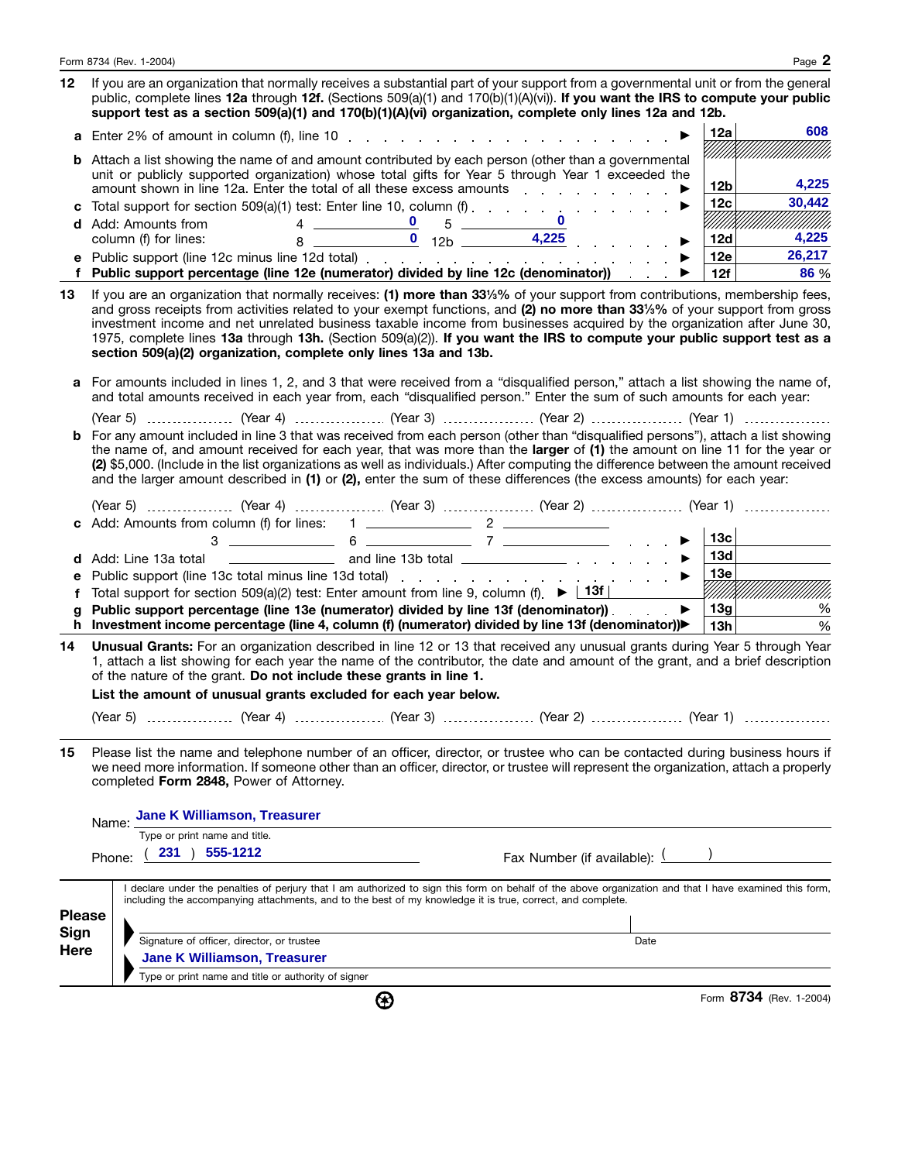|               | Form 8734 (Rev. 1-2004)                                                                                                                                                                                                                                                                                                                                                                                                                                                                                                                                                             | Page 2                                 |  |  |  |  |  |  |  |  |
|---------------|-------------------------------------------------------------------------------------------------------------------------------------------------------------------------------------------------------------------------------------------------------------------------------------------------------------------------------------------------------------------------------------------------------------------------------------------------------------------------------------------------------------------------------------------------------------------------------------|----------------------------------------|--|--|--|--|--|--|--|--|
| 12            | If you are an organization that normally receives a substantial part of your support from a governmental unit or from the general<br>public, complete lines 12a through 12f. (Sections 509(a)(1) and 170(b)(1)(A)(vi)). If you want the IRS to compute your public<br>support test as a section 509(a)(1) and 170(b)(1)(A)(vi) organization, complete only lines 12a and 12b.                                                                                                                                                                                                       |                                        |  |  |  |  |  |  |  |  |
|               | <b>a</b> Enter 2% of amount in column (f), line 10 $\ldots$ $\ldots$ $\ldots$ $\ldots$ $\ldots$ $\ldots$ $\ldots$                                                                                                                                                                                                                                                                                                                                                                                                                                                                   | 608<br>12a                             |  |  |  |  |  |  |  |  |
|               | <b>b</b> Attach a list showing the name of and amount contributed by each person (other than a governmental<br>unit or publicly supported organization) whose total gifts for Year 5 through Year 1 exceeded the                                                                                                                                                                                                                                                                                                                                                                    | 4,225<br>12 <sub>b</sub>               |  |  |  |  |  |  |  |  |
| c             | amount shown in line 12a. Enter the total of all these excess amounts entertainment of the state of the state o<br>▶                                                                                                                                                                                                                                                                                                                                                                                                                                                                | 30,442<br>12c<br>$\blacktriangleright$ |  |  |  |  |  |  |  |  |
|               | $\mathbf{0}$<br>$4 \underline{\hspace{1cm}} 6 \underline{\hspace{1cm}} 5 \underline{\hspace{1cm}}$<br><b>d</b> Add: Amounts from<br>$8 \overline{)}$ $\overline{0}$ $12b$ $\overline{)}$ $4,225$ $\overline{)}$ $\overline{0}$<br>column (f) for lines:                                                                                                                                                                                                                                                                                                                             | Millillillillilli<br>12d<br>4,225      |  |  |  |  |  |  |  |  |
| е             |                                                                                                                                                                                                                                                                                                                                                                                                                                                                                                                                                                                     | 26,217<br>12e<br>▶                     |  |  |  |  |  |  |  |  |
| f             | Public support percentage (line 12e (numerator) divided by line 12c (denominator)) e →                                                                                                                                                                                                                                                                                                                                                                                                                                                                                              | 12f<br>86 %                            |  |  |  |  |  |  |  |  |
| 13            | If you are an organization that normally receives: (1) more than 33%% of your support from contributions, membership fees,<br>and gross receipts from activities related to your exempt functions, and (2) no more than 331/3% of your support from gross<br>investment income and net unrelated business taxable income from businesses acquired by the organization after June 30,<br>1975, complete lines 13a through 13h. (Section 509(a)(2)). If you want the IRS to compute your public support test as a<br>section 509(a)(2) organization, complete only lines 13a and 13b. |                                        |  |  |  |  |  |  |  |  |
|               | a For amounts included in lines 1, 2, and 3 that were received from a "disqualified person," attach a list showing the name of,<br>and total amounts received in each year from, each "disqualified person." Enter the sum of such amounts for each year:                                                                                                                                                                                                                                                                                                                           |                                        |  |  |  |  |  |  |  |  |
|               |                                                                                                                                                                                                                                                                                                                                                                                                                                                                                                                                                                                     |                                        |  |  |  |  |  |  |  |  |
|               | <b>b</b> For any amount included in line 3 that was received from each person (other than "disqualified persons"), attach a list showing<br>the name of, and amount received for each year, that was more than the larger of (1) the amount on line 11 for the year or<br>(2) \$5,000. (Include in the list organizations as well as individuals.) After computing the difference between the amount received<br>and the larger amount described in (1) or (2), enter the sum of these differences (the excess amounts) for each year:                                              |                                        |  |  |  |  |  |  |  |  |
|               | (Year 5)  (Year 4)  (Year 3)  (Year 2)  (Year 1)                                                                                                                                                                                                                                                                                                                                                                                                                                                                                                                                    | 13c                                    |  |  |  |  |  |  |  |  |
| d             | Add: Line 13a total                                                                                                                                                                                                                                                                                                                                                                                                                                                                                                                                                                 | 13d  <br>$\blacktriangleright$         |  |  |  |  |  |  |  |  |
| е             |                                                                                                                                                                                                                                                                                                                                                                                                                                                                                                                                                                                     | 13e                                    |  |  |  |  |  |  |  |  |
| f             | Total support for section 509(a)(2) test: Enter amount from line 9, column (f) $\blacktriangleright$ $\lfloor$ 13f $\rfloor$                                                                                                                                                                                                                                                                                                                                                                                                                                                        | <u>SIIII TÄINII III III III III II</u> |  |  |  |  |  |  |  |  |
| g             | Public support percentage (line 13e (numerator) divided by line 13f (denominator)).                                                                                                                                                                                                                                                                                                                                                                                                                                                                                                 | 13g<br>$\blacktriangleright$<br>%      |  |  |  |  |  |  |  |  |
|               | h Investment income percentage (line 4, column (f) (numerator) divided by line 13f (denominator))                                                                                                                                                                                                                                                                                                                                                                                                                                                                                   | 13h<br>$\%$                            |  |  |  |  |  |  |  |  |
| 14            | Unusual Grants: For an organization described in line 12 or 13 that received any unusual grants during Year 5 through Year<br>1, attach a list showing for each year the name of the contributor, the date and amount of the grant, and a brief description<br>of the nature of the grant. Do not include these grants in line 1.<br>List the amount of unusual grants excluded for each year below.                                                                                                                                                                                |                                        |  |  |  |  |  |  |  |  |
|               |                                                                                                                                                                                                                                                                                                                                                                                                                                                                                                                                                                                     |                                        |  |  |  |  |  |  |  |  |
|               |                                                                                                                                                                                                                                                                                                                                                                                                                                                                                                                                                                                     |                                        |  |  |  |  |  |  |  |  |
| 15            | Please list the name and telephone number of an officer, director, or trustee who can be contacted during business hours if<br>we need more information. If someone other than an officer, director, or trustee will represent the organization, attach a properly<br>completed Form 2848, Power of Attorney.                                                                                                                                                                                                                                                                       |                                        |  |  |  |  |  |  |  |  |
|               | Jane K Williamson, Treasurer<br>Name:                                                                                                                                                                                                                                                                                                                                                                                                                                                                                                                                               |                                        |  |  |  |  |  |  |  |  |
|               | Type or print name and title.                                                                                                                                                                                                                                                                                                                                                                                                                                                                                                                                                       |                                        |  |  |  |  |  |  |  |  |
|               | 555-1212<br>231<br>Fax Number (if available): $($<br>Phone:                                                                                                                                                                                                                                                                                                                                                                                                                                                                                                                         |                                        |  |  |  |  |  |  |  |  |
|               | I declare under the penalties of perjury that I am authorized to sign this form on behalf of the above organization and that I have examined this form,<br>including the accompanying attachments, and to the best of my knowledge it is true, correct, and complete.                                                                                                                                                                                                                                                                                                               |                                        |  |  |  |  |  |  |  |  |
| <b>Please</b> |                                                                                                                                                                                                                                                                                                                                                                                                                                                                                                                                                                                     |                                        |  |  |  |  |  |  |  |  |
| Sign<br>Here  | Signature of officer, director, or trustee<br>Date                                                                                                                                                                                                                                                                                                                                                                                                                                                                                                                                  |                                        |  |  |  |  |  |  |  |  |
|               | <b>Jane K Williamson, Treasurer</b>                                                                                                                                                                                                                                                                                                                                                                                                                                                                                                                                                 |                                        |  |  |  |  |  |  |  |  |
|               | Type or print name and title or authority of signer                                                                                                                                                                                                                                                                                                                                                                                                                                                                                                                                 |                                        |  |  |  |  |  |  |  |  |
|               | ⊛                                                                                                                                                                                                                                                                                                                                                                                                                                                                                                                                                                                   | Form 8734 (Rev. 1-2004)                |  |  |  |  |  |  |  |  |